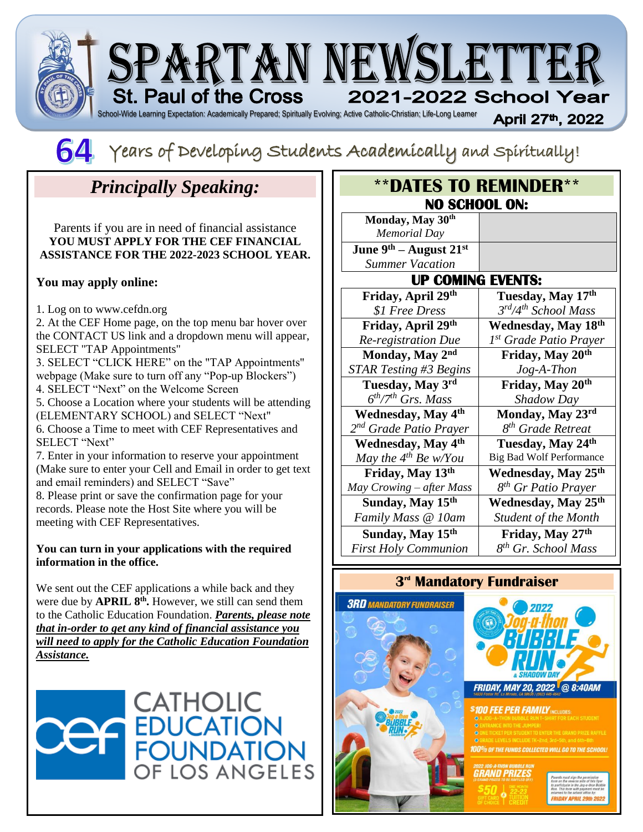



# *Principally Speaking:*

Parents if you are in need of financial assistance **YOU MUST APPLY FOR THE CEF FINANCIAL ASSISTANCE FOR THE 2022-2023 SCHOOL YEAR.**

#### **You may apply online:**

1. Log on to www.cefdn.org

2. At the CEF Home page, on the top menu bar hover over the CONTACT US link and a dropdown menu will appear, SELECT "TAP Appointments"

3. SELECT "CLICK HERE" on the "TAP Appointments" webpage (Make sure to turn off any "Pop-up Blockers")

4. SELECT "Next" on the Welcome Screen

5. Choose a Location where your students will be attending (ELEMENTARY SCHOOL) and SELECT "Next"

6. Choose a Time to meet with CEF Representatives and SELECT "Next"

7. Enter in your information to reserve your appointment (Make sure to enter your Cell and Email in order to get text and email reminders) and SELECT "Save"

8. Please print or save the confirmation page for your records. Please note the Host Site where you will be meeting with CEF Representatives.

#### **You can turn in your applications with the required information in the office.**

We sent out the CEF applications a while back and they were due by **APRIL 8<sup>th</sup>**. However, we still can send them to the Catholic Education Foundation. *Parents, please note that in-order to get any kind of financial assistance you will need to apply for the Catholic Education Foundation Assistance.* 



#### **\*\*DATES TO REMINDER\*\* NO SCHOOL ON: Monday, May 30th** *Memorial Day* **June 9th – August 21st** *Summer Vacation* **UP COMING EVENTS: Friday, April 29th Tuesday, May 17th**

| гниау, Арги <i>29</i>                  | 1 desuay, iviay 17                 |
|----------------------------------------|------------------------------------|
| \$1 Free Dress                         | $3^{rd}/4^{th}$ School Mass        |
| Friday, April 29th                     | Wednesday, May 18th                |
| Re-registration Due                    | 1 <sup>st</sup> Grade Patio Prayer |
| Monday, May 2nd                        | Friday, May 20th                   |
| STAR Testing #3 Begins                 | $Jog-A-Thon$                       |
| Tuesday, May 3rd                       | Friday, May 20 <sup>th</sup>       |
| $6th/7th$ Grs. Mass                    | Shadow Day                         |
| Wednesday, May 4 <sup>th</sup>         | Monday, May 23rd                   |
| 2 <sup>nd</sup> Grade Patio Prayer     | 8 <sup>th</sup> Grade Retreat      |
| <b>Wednesday</b> , May 4 <sup>th</sup> | Tuesday, May 24th                  |
| May the $4^{th}$ Be w/You              | <b>Big Bad Wolf Performance</b>    |
| Friday, May 13th                       | Wednesday, May 25th                |
| May Crowing - after Mass               | 8 <sup>th</sup> Gr Patio Prayer    |
| Sunday, May 15th                       | Wednesday, May 25th                |
| Family Mass @ 10am                     | <b>Student of the Month</b>        |
| Sunday, May 15 <sup>th</sup>           | Friday, May 27th                   |
| <b>First Holy Communion</b>            | 8 <sup>th</sup> Gr. School Mass    |

### **3 rd Mandatory Fundraiser**